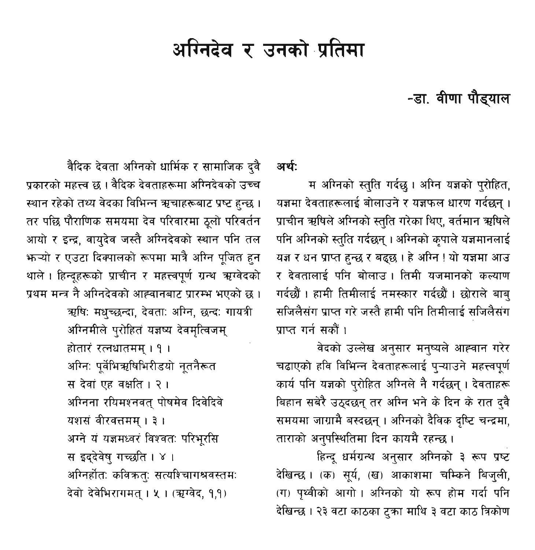# अग्निटेव र उनको प्रतिमा

## -डा. वीणा पौड्याल

#### अर्थ:

म अग्निको स्तुति गर्दछ। अग्नि यज्ञको पुरोहित, यज्ञमा देवताहरूलाई बोलाउने र यज्ञफल धारण गर्दछन्। प्राचीन ऋषिले अग्निको स्तुति गरेका थिए, वर्तमान ऋषिले पनि अग्निको स्तुति गर्दछन् । अग्निको कुपाले यज्ञमानलाई यज्ञ र धन प्राप्त हुन्छ र बद्ध्छ । हे अग्नि ! यो यज्ञमा आउ र देवतालाई पनि बोलाउं । तिमी यजमानको कल्याण गर्दछौं । हामी तिमीलाई नमस्कार गर्दछौ । छोराले बाब सजिलैसंग प्राप्त गरे जस्तै हामी पनि तिमीलाई सजिलैसंग पाप्त गर्न सकों ।

वेदको उल्लेख अनुसार मनुष्यले आह्वान गरेर चढाएको हवि विभिन्न देवताहरूलाई पऱ्याउने महत्त्वपूर्ण कार्य पनि यज्ञको परोहित अग्निले नै गर्दछन् । देवताहरू बिहान सबेरै उठदछन तर अग्नि भने के दिन के रात दवै समयमा जाग्रामै बस्दछन् । अग्निको दैविक दृष्टि चन्द्रमा, ताराको अनुपस्थितिमा दिन कायमै रहन्छ।

हिन्दू धर्मग्रन्थ अनुसार अग्निको ३ रूप प्रष्ट देखिन्छ। (क) सुर्य, (ख) आकाशमा चम्किने बिजुली, (ग) पृथ्वीको आगो। अग्निको यो रूप होम गर्दा पनि देखिन्छ । २३ वटा काठका टुका माथि ३ वटा काठ त्रिकोण

वैदिक देवता अग्निको धार्मिक र सामाजिक दवै पकारको महत्त्व छ । वैदिक देवताहरूमा अग्निदेवको उच्च स्थान रहेको तथ्य वेदका विभिन्न ऋचाहरूबाट प्रष्ट हुन्छ । तर पछि पौराणिक समयमा देव परिवारमा ठूलो परिवर्तन आयो र इन्द्र, वायुदेव जस्तै अग्निदेवको स्थान पनि तल भन्यो र एउटा दिक्पालको रूपमा मात्रै अग्नि पूजित हुन थाले। हिन्दूहरूको प्राचीन र महत्त्वपूर्ण ग्रन्थ ऋग्वेदको प्रथम मन्त्र नै अग्निदेवको आह्वानबाट प्रारम्भ भएको छ ।

> ऋषिः मधुच्छन्दा, देवताः अग्नि, छन्दः गायत्री अग्निमीले पुरोहितं यज्ञष्य देवमुत्विजम् होतारं रत्नधातमम् । १ । अग्निः पर्वेभिऋषिभिरीडयो नतनैरूत स देवां एह वक्षति । २ । अग्निना रयिमश्नवत पोषमेव दिवेदिवे यशसं वीरवत्तमम् । ३ । अग्ने य यज्ञमध्वर विश्वतः परिभूरसि स इद्देवेष गच्छति । ४ । अग्निर्होतः कविक्रतः सत्यश्चागश्रवस्तमः देवो देवेभिरागमत । ५ । (ऋग्वेद, १,१)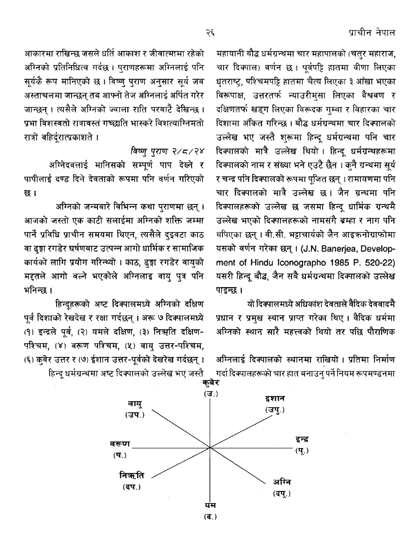आकारमा राखिन्छ जसले धर्ति आकाश र जीवात्मामा रहेको अग्निको प्रतिनिधित्व गर्दछ। पुराणहरूमा अग्निलाई पनि सूर्यकै रूप मानिएको छ। विष्णु पुराण अनुसार सूर्य जब अस्ताचलमा जान्छन् तब आफ्नो तेज अग्निलाई अर्पित गरेर जान्छन । त्यसैले अग्निको ज्वाला राति परबाटै देखिन्छ । पभा विशस्वतो रात्रावस्तं गच्छ्वाति भास्करे विशत्याग्निमतो रात्रों बहिर्दरात्प्रकाशते ।

### विष्णु प्राण २/८/२४

अग्निदवलाई मानिसको सम्पूर्ण पाप देख्ने र पापीलाई दण्ड दिने देवताको रूपमा पनि वर्णन गरिएको छ।

अग्निको जन्मबारे विभिन्न कथा पुराणमा छन्। आजको जस्तो एक काटी सलाईमा अग्निको शक्ति जम्मा पार्ने प्रविधि प्राचीन समयमा थिएन, त्यसैले दइवटा काठ वा ढुङ्गा रगडेर घर्षणबाट उत्पन्न आगो धार्मिक र सामाजिक कार्यको लागि प्रयोग गरिन्थ्यो । काठ, ढ्ज्ञ रगडेर वायुको मद्दतले आगो बल्ने भएकोले अग्निलाइ वाय् पुत्र पनि भनिन्छ ।

हिन्दूहरूको अष्ट दिक्पालमध्ये अग्निको दक्षिण पूर्व दिशाको रेखदेख र रक्षा गर्दछन् । अरू ७ दिक्पालमध्ये (१) इन्द्रले पूर्व, (२) यमले दक्षिण, (३) निऋति दक्षिण-पश्चिम, (४) वरूण पश्चिम, (५) वायु उत्तर-पश्चिम, (६) कवेर उत्तर र (७) ईशान उत्तर-पूर्वको देखरेख गर्दछन्। हिन्दु धर्मग्रन्थमा अष्ट दिक्पालको उल्लेख भए जस्तै

महायानी बौद्ध धर्मग्रन्थमा चार महापालको (चतुर महाराज, चार दिक्पाल) वर्णन छ । पूर्वपट्टि हातमा वीणा लिएका धृतराष्ट्र, पश्चिमपट्टि हातमा चैत्य लिएका ३ आँखा भएका विरूपाक्ष, उत्तरतर्फ न्याउरीमसा लिएका वैश्<mark>रवण र</mark> दक्षिणतर्फ खडग लिएका विरूदक गम्बा र विहारका चार <u>दिशामा अंकित गरिन्छ । बौद्ध धर्मगन्थमा चार दिक्पालको</u> उल्लेख भए जस्तै शरूमा हिन्द धर्मग्रन्थमा पनि चार दिक्पालको मात्रै उल्लेख थियो। हिन्दू धर्मग्रन्थहरूमा दिक्पालको नाम र संख्या भने एउटै छैन । कनै ग्रन्थमा सुर्य र चन्द्र पनि दिक्पालको रूपमा पुजित छन् । रामायणमा पनि चार दिक्पालको मात्रै उल्लेख छ। जैन ग्रन्थमा पनि दिक्पालहरूको उल्लेख छ जसमा हिन्दू धार्मिक ग्रन्थमै उल्लेख भएको दिक्पालहरूको नामसंगै बम्हा र नाग पनि थपिएका छन् । वी.सी. भट्टाचार्यको जैन आइक्रनोग्राफोमा यसको वर्णन गरेका छन् । (J.N. Banerjea, Development of Hindu Iconographo 1985 P. 520-22) यसरी हिन्दू बौद्ध, जैन सबै धर्मग्रन्थमा दिक्पालको उल्लेख पाइन्छ ।

यो दिक्पालमध्ये अधिकांश देवताले वैदिक देववादमै प्रधान र प्रमुख स्थान प्राप्त गरेका थिए। वैदिक धर्ममा अग्निको स्थान सारै महत्त्वको थियो तर पछि पौराणिक

अग्निलाई दिक्पालको स्थानमा राखियो । प्रतिमा निर्माण गर्दा दिक्पालहरूको चार हात बनाउन् पर्ने नियम रूपमण्डनमा

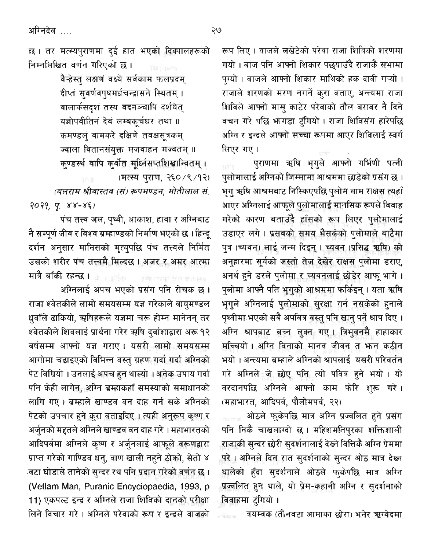अग्निदेव ….

छ। तर मत्स्यपुराणमा दई हात भएको दिक्पालहरूको निम्नलिखित वर्णन गरिएको छ।

> वैन्हेस्त लक्षणं वक्ष्ये सर्वकाम फलप्रदम दीप्तं सुवर्णवपुषमर्धचन्द्रासने स्थितम् । वालार्कसदशं तस्य वदनञ्चापि दर्शयेत् यज्ञोपवीतिनं देवं लम्बकुर्चघर तथा ॥ कमण्डलं वामकरे दक्षिणे तवक्षसत्रकम् ज्वाला वितानसंयुक्त मजवाहन मज्वतम् ॥ कण्डर्स्थ वापि कर्वोत मुध्निसप्तशिखान्वितम् ।

> > (मत्स्य पराण, २६०/९/१२)

(बलराम श्रीवास्तव (स) रूपमण्डन, मोतीलाल सं  $2029.99.88-85$ 

पंच तत्त्व जल, पृथ्वी, आकाश, हावा र अग्निबाट नै सम्पर्ण जीव र विश्व ब्रम्हाण्डको निर्माण भएको छ । हिन्द दर्शन अनुसार मानिसको मृत्युपछि पंच तत्त्वले निर्मित उसको शरीर पंच तत्त्वमै मिल्दछ । अजर र अमर आत्मा मात्रै बाँकी रहन्छ । <sub>मौज</sub>ाहरू । स्कल्पाक प्रतालस्थर

अग्निलाई अपच भएको प्रसंग पनि रोचक छ । राजा श्वेतकीले लामो समयसम्म यज्ञ गरेकाले वायमण्डल धवाँले ढाकियो, ऋषिहरूले यज्ञमा चरू होम्न मानेनन् तर <u>श्वेतकीले शिवलाई प्रार्थना गरेर ऋषि दर्वाशाद्वारा अरू १२</u> वर्षसम्म आफ्नो यज्ञ गराए। यसरी लामो समयसम्म आगोमा चढाइएको विभिन्न वस्तु ग्रहण गर्दा गर्दा अग्निको पेट बिग्रियो । उनलाई अपच हन थाल्यो । अनेक उपाय गर्दा पनि केही लागेन, अग्नि ब्रम्हाकहाँ समस्याको समाधानको लागि गए। ब्रम्हाले खाण्डव वन दाह गर्न सके अग्निको पेटको उपचार हुने करा बताइदिए। त्यही अनुरूप कृष्ण र अर्जुनको मद्दतले अग्निले खाण्डव वन दाह गरे । महाभारतको आदिपर्वमा अग्निले कृष्ण र अर्जुनलाई आफुले बरूणद्वारा प्राप्त गरेको गाण्डिब धन्, वाण खाली नहने ठोको, सेतो ४ .<br>वटा घोडाले तानेको सुन्दर रथ पनि प्रदान गरेको वर्णन छ । (Vetlam Man, Puranic Encyclopaedia, 1993, p. 11) एकपल्ट इन्द्र र अग्निले राजा शिविको दानको परीक्षा लिने विचार गरे। अग्निले परेवाको रूप र इन्द्रले वाजको

रूप लिए । वाजले लखेटेको परेवा राजा शिविको शरणमा गयो । बाज पनि आफ्नो शिकार पछुयाउँदै राजाकै सभामा पग्यो । बाजले आफ्नो शिकार माथिको हक दावी गऱ्यो । राजाले शरणको मरण नगर्ने करा बताए, अन्त्यमा राजा शिविले आफ्नो मास काटेर परेवाको तौल बराबर नै दिने वचन गरे पछि भन्गडा टंगियो । राजा शिविसंग हारेपछि अग्नि र इन्द्रले आफ्नो सच्चा रूपमा आएर शिविलाई स्वर्ग लिएर गए।

पुराणमा ऋषि भृगुले आफ्नो गर्भिणी पत्नी पलोमालाई अग्निको जिम्मामा आश्रममा छाडेको प्रसंग छ । भुग ऋषि आश्रमबाट निस्किएपछि पुलोम नाम राक्षस त्यहाँ आएर अग्निलाई आफले पुलोमालाई मानसिक रूपले विवाह गरेको कारण बताउँदै हाँसको रूप लिएर पुलोमालाई उडाएर लगे। प्रसबको समय भैसकेको पलोमाले बाटैमा पुत्र (च्यवन) लाई जन्म दिइन् । च्यवन (प्रसिद्ध ऋषि) को अनुहारमा सूर्यको जस्तो तेज देखेर राक्षस पुलोमा डराए, अनर्थ हुने डरले पुलोमा र च्यवनलाई छोडेर आफ भागे। पलोमा आफ्नै पति भगको आश्रममा फर्किइन् । यता ऋषि भगले अग्निलाई पुलोमाको सुरक्षा गर्न नसकेको हुनाले पृथ्वीमा भएको सबै अपवित्र वस्तु पनि खानु पर्ने श्राप दिए । अग्नि श्रापबाट बच्न लक्न गए। त्रिभवनमै हाहाकार .<br>मच्चियो । अग्नि विनाको मानव जीवन त **भन्न कठी**न भयो । अन्त्यमा ब्रम्हाले अग्निको श्रापलाई यसरी परिवर्तन गरे अग्निले जे छोए पनि त्यो पवित्र हुने भयो। यो वरदानपछि अग्निले आफ्नो काम फेरि शरू गरे। (महाभारत, आदिपर्व, पौलोमपर्व, २२)

ओठले फुकेपछि मात्र अग्नि प्रज्वलित हुने प्रसंग पनि निकै चाखलाग्दो छ। महिशमतिपुरका शक्तिशाली राजाकी सुन्दर छोरी सुदर्शनालाई देख्ने वित्तिकै अग्नि प्रेममा .<br>परे। अग्निले दिन रात सदर्शनाको सन्दर ओठ मात्र देख्न थालेको हुँदा सुदर्शनाले ओठले फुकेपछि मात्र अग्नि प्रज्वलित हुन थाले, यो प्रेम-कहानी अग्नि र सुदर्शनाको विवाहमा टंगियो ।

त्रयम्बक (तीनवटा आमाका छोरा) भनेर ऋग्वेदमा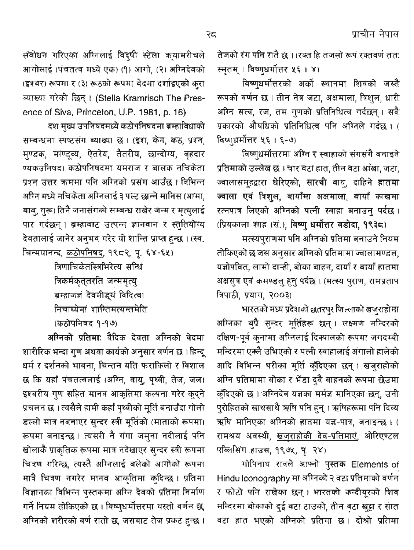संबोधन गरिएका अग्निलाई विद्षी स्टेला क्यामरीचले आगोलाई (पंचतत्व मध्ये एक) (१) आगो, (२) अग्निदेवको (इश्वर) रूपमा र (३) रूठको रूपमा वेदमा दर्शाइएको कुरा व्याख्या गरेकी छिन्। (Stella Kramrisch The Presence of Siva, Princeton, U.P. 1981, p. 16)

दश मुख्य उपनिषदमध्ये कठोपनिषदमा ब्रम्हाविधाको सम्बन्धमा स्पष्टसंग ब्याख्या छ। (इश, केन, कठ, प्रश्न, मुण्डक, माण्डूब्य, ऐतरेय, तैतरीय, छान्दोग्य, बृहदार ण्यकउनिषद) कठोपनिषदमा यमराज र बालक नचिकेता प्रश्न उत्तर कममा पनि अग्निको प्रसंग आउँछ । विभिन्न अग्नि मध्ये नचिकेता अग्निलाई ३ पल्ट छान्ने मानिस (आमा, बाब्, गुरू) तिनै जनासंगको सम्बन्ध राखेर जन्म र मृत्युलाई पार गर्दछन् । ब्रम्हाबाट उत्पन्न ज्ञानवान र स्तुतियोग्य देवतालाई जानेर अनुभव गरेर यो शान्ति प्राप्त हुन्छ । (स्व. चिन्मयानन्द, कठोपनिषद, १९८२, पृ. ६४-६५)

> त्रिणाचिकेतस्त्रभिरेत्य सन्धि त्रिकर्मकृत्**तरति** जन्ममृत्यु ब्रम्हाजज्ञं देवमीड्यं विदित्वा निचाथ्येमां शान्तिमत्यन्तमेति (कठोपनिषद १-१७)

अग्निको प्रतिमा: वैदिक देवता अग्निको वेदमा शारीरिक भन्दा गुण अथवा कार्यको अनुसार वर्णन छ । हिन्दू धर्म र दर्शनको भावना, चिन्तन यति फराकिलो र विशाल छ कि यहाँ पंचतत्वलाई (अग्नि, वायु, पृथ्वी, तेज, जल) इश्वरीय गुण सहित मानव आकृतिमा कल्पना गरेर कुदुने प्रचलन छ । त्यसैले हामी कहाँ पृथ्वीको मूर्ति बनाउँदा गोलो डल्लो मात्र नबनाएर सन्दर स्त्री मूर्तिको (माताको रूपमा) रूपमा बनाइन्छ। त्यसरी नै गंगा जमुना नदीलाई पनि खोलाकै प्राकृतिक रूपमा मात्र नदेखाएर सुन्दर स्त्री रूपमा चित्रण गरिन्छ, त्यस्तै अग्निलाई बलेको आगोको रूपमा मात्रै चित्रण नगरेर मानव आकृतिमा कुदिन्छ । प्रतिमा विज्ञानका विभिन्न पुस्तकमा अग्नि देवको प्रतिमा निर्माण गर्ने नियम तोकिएको छ । विष्णुधर्मोत्तरमा यस्तो वर्णन छ, अग्निको शरीरको वर्ण रातो छ, जसबाट तेज प्रकट हुन्छ ।

तेजको रंग पनि रातै छ । (रक्त हि तजसो रूपं रक्तवर्ण तत: स्मृतम् । विष्णुधर्मोत्तर ५६ । ४)

विष्णुधर्मोत्तरको अर्को स्थानमा शिवको जस्तै रूपको वर्णन छ । तीन नेत्र जटा, अक्षमाला, त्रिशुल, धारी अग्नि सत्व, रज, तम गणको प्रतिनिधित्व गर्दछन्। सबै प्रकारको औषधिको प्रतिनिधित्व पनि अग्निले गर्दछ। ( विष्णधर्मोत्तर ५६ । ६-७)

विष्णुधर्मोत्तरमा अग्नि र स्वाहाको संगसंगै बनाइने प्रतिमाको उल्लेख छ । चार वटा हात, तीन वटा आँखा, जटा, ज्वालासमूहद्वारा घेरिएको, सारथी वायु, दाहिने हातमा ज्वाला एवं त्रिशुल, बायाँमा अक्षमाला, बायाँ काखमा रत्नपात्र लिएको अग्निको पत्नी स्वाहा बनाउन् पर्दछ। (प्रियकाला शाह (सं.), विष्णु धर्मोत्तर वडोदा, १९३८)

मत्स्यपुराणमा पनि अग्निको प्रतिमा बनाउने नियम तोकिएको छ जस अनुसार अग्निको प्रतिमामा ज्वालामण्डल, यज्ञोपवित, लामो दाऱ्ही, बोका बाहन, दायाँ र बायाँ हातमा अक्षसुत्र एवं कमण्डलु हुनु पर्दछ । (मत्स्य पुराण, रामप्रताप त्रिपाठी, प्रयाग, २००३)

भारतको मध्य प्रदेशको छतरपुर जिल्लाको खजुराहोमा अग्निका थुप्रै सुन्दर मूर्तिहरू छन्। लक्ष्मण मन्दिरको दक्षिण-पूर्व कुनामा अग्निलाई दिक्यालको रूपमा जगदम्बी मन्दिरमा एक्लै उभिएको र पत्नी स्वाहालाई अंगालो हालेको आदि विभिन्न थरीका मूर्ति कुँदिएका छन्। खजुराहोको अग्नि प्रतिमामा बोका र भेंडा दुवै बाहनको रूपमा छेउमा क्ँदिएको छ । अग्निदेव यज्ञका मर्मज्ञ मानिएका छन्, उनी पुरोहितको साथसाथै ऋषि पनि हुन् । ऋषिहरूमा पनि दिव्य ऋषि मानिएका अग्निको हातमा यज्ञ-पात्र, बनाइन्छ। ( रामश्रय अवस्थी, <u>खजुराहोकी देव-प्रतिमाएं</u>, ओरिएण्टल पब्लिसिंग हाउस, १९७५, पृ. २४)

गोपिनाथ रावले आफ्नो पुस्तक Elements of Hindu lconography मा अग्निको २ वटा प्रतिमाको वर्णन र फोटो पनि राखेका छन्। भारतको कन्दीयूरको शिव मन्दिरमा बोकाको दुई वटा टाउको, तीन वटा खुट्टा र सात वटा हात भएको अग्निको प्रतिमा छ। दोश्रो प्रतिमा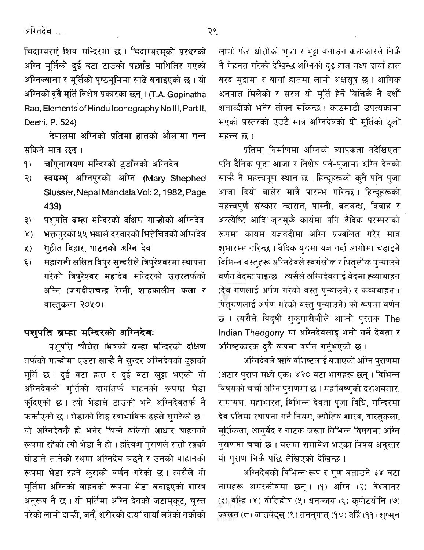अग्निदेव ….

चिदाम्बरम्ं शिव मन्दिरमा छ। चिदाम्बरम्को प्रस्थरको अग्नि मूर्तिको दुई बटा टाउको पछाडि माथितिर गएको अग्निज्वाला र मूर्तिको पृष्ठभूमिमा साढे बनाइएको छ । यो अग्निको दुवै मूर्ति विशेष प्रकारका छन् । (T.A. Gopinatha Rao, Elements of Hindu Iconography No III, Part II, Deehi, P. 524)

नेपालमा अग्निको प्रतिमा हातको औलामा गन्न सकिने मात्र छन् ।

- चाँगुनारायण मन्दिरको टुडाँलको अग्निदेव  $9)$
- स्वयम्भु अग्निपुरको अग्नि (Mary Shephed २) । Slusser, Nepal Mandala Vol: 2, 1982, Page 439)
- पशुपति ब्रम्हा मन्दिरको दक्षिण गाऱ्होको अग्निदेव  $\mathfrak{B}$ )
- भक्तपुरको ५५ भयाले दरवारको भित्तेचित्रको अग्निदेव  $X$
- गुहीत विहार, पाटनको अग्नि देव  $x)$
- महारानी ललित त्रिपुर सुन्दरीले त्रिपुरेश्वरमा स्थापना  $\xi$ गरेको त्रिपुरेश्वर महादेव मन्दिरको उत्तरतर्फको अग्नि (जगदीशचन्द्र रेग्मी, शाहकालीन कला र वास्तुकला २०५०)

### पशुपति ब्रम्हा मन्दिरको अग्निदेवः

पशुपति चौघेरा भित्रको ब्रम्हा मन्दिरको दक्षिण तर्फको गाऱ्होमा एउटा साऱ्है नै सुन्दर अग्निदेवको ढुङ्गाको मूर्ति छ। दुई वटा हात र दुई वटा खुट्टा भएको यो अग्निदेवको मूर्तिको दायाँतर्फ बाहनको रूपमा भेडा कॉंदेएको छ। त्यो भेडाले टाउको भने अग्निदेवतर्फ नै फर्काएको छ । भेडाको सिङ्ग स्वाभाविक ढङ्गले घुमरेको छ । यो अग्निदेवकै हो भनेर चिन्ने बलियो आधार बाहनको रूपमा रहेको त्यो भेडा नै हो । हरिबंश पुराणले रातो रङ्गको घोडाले तानेको रथमा अग्निदेव चढ्ने र उनको बाहानको रूपमा भेडा रहने कुराको वर्णन गरेको छ। त्यसैले यो मूर्तिमा अग्निको बाहनको रूपमा भेडा बनाइएको शास्त्र अनुरूप नै छ। यो मूर्तिमा अग्नि देवको जटामुक्ट, चुस्स परेको लामो दाऱ्ही, जनै, शरीरको दायाँ बायाँ लत्रेको वर्कोको

लामो फेर, धोतीको भुजा र बट्टा बनाउन कलाकारले निकै नै मेहनत गरेको देखिन्छ अग्निको दइ हात मध्य दायाँ हात वरद मुद्रामा र बायाँ हातमा लामो अक्षसूत्र छ। आंगिक अनुपात मिलेको र सरल यो मूर्ति हेर्ने बित्तिकै नै दशौं शताब्दीको भनेर तोक्न सकिन्छ । काठमाडौँ उपत्यकामा भएको प्रस्तरको एउटै मात्र अग्निदेवको यो मूर्तिको ठूलो महत्त्व छ।

प्रतिमा निर्माणमा अग्निको ब्यापकता नदेखिएता पनि दैनिक पूजा आजा र विशेष पर्व-पूजामा अग्नि देवको साऱ्हे नै महत्त्वपूर्ण स्थान छ । हिन्दूहरूको कुनै पनि पुजा आजा दियो बालेर मात्रै प्रारम्भ गरिन्छ। हिन्दूहरूको महत्त्वपूर्ण संस्कार न्वारान, पास्नी, ब्रतबन्ध, विवाह र अन्त्येष्टि आदि जुनसुकै कार्यमा पनि वैदिक परम्पराको रूपमा कायम यज्ञवेदीमा अग्नि प्रज्वलित गरेर मात्र शुभारम्भ गरिन्छ । वैदिक युगमा यज्ञ गर्दा आगोमा चढाइने विभिन्न बस्तुहरू अग्निदेवले स्वर्गलोक र पितृलोक पुऱ्याउने वर्णन वेदमा पाइन्छ । त्यसैले अग्निदेवलाई वेदमा ह्व्याबाहन (देव गणलाई अर्पण गरेको वस्तु प्ऱ्याउने) र कव्यबाहन ( पितृगणलाई अर्पण गरेको वस्तु पुऱ्याउने) को रूपमा वर्णन छ । त्यसैले विद्षी सुकुमारीजीले आप्नो पुस्तक The Indian Theogony मा अग्निदेवलाइ भलो गर्ने देवता र अनिष्टकारक दुवै रूपमा वर्णन गर्नुभएको छ ।

अग्निदेवले ऋषि वशिष्टलाई बताएको अग्नि पुराणमा (अठार पुराण मध्ये एक) ४२० वटा भागहरू छन् । विभिन्न विषयको चर्चा अग्नि पुराणमा छ । महाविष्णुको दशअवतार, रामायण, महाभारत, विभिन्न देवता पूजा विधि, मन्दिरमा देव प्रतिमा स्थापना गर्ने नियम, ज्योतिष शास्त्र, वास्तुकला, मूर्तिकला, आयुर्वेद र नाटक जस्ता विभिन्न विषयमा अग्नि | पुराणमा चर्चा छ । यसमा समावेश भएका विषय अनुसार यो पुराण निकै पछि लेखिएको देखिन्छ।

अग्निदेवको विभिन्न रूप र गुण बताउने ३४ वटा नामहरू अमरकोषमा छन्। (१) अग्नि (२) वेश्वानर (३) वन्हि (४) वोतिहोत्र (५) धनञ्जय (६) कृपोटयोनि (७) ज्वलन (८) जातवेद्स् (९) तननुपात् (१०) वर्हि (११) शुष्म्न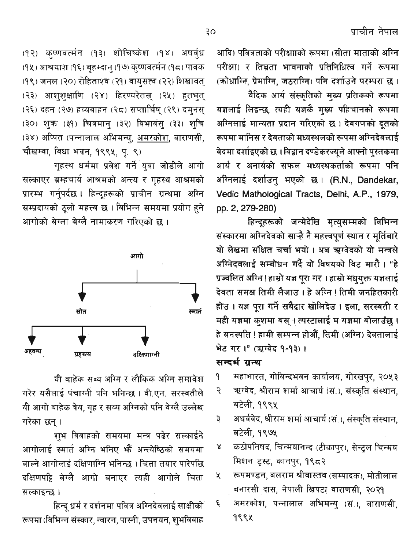(१२) कृष्णवर्त्मन (१३) शोचिष्केश (१४) अषर्व्ध (१५) आश्रयाश (१६) बृहम्दानु (१७) कृष्णवर्त्मन (१८) पावक (१९) जनल (२०) रोहिताश्व (२१) वायुसत्व (२२) शिखावत् (२३) आश्शृक्षाणि (२४) हिरण्यरेतस् (२५) हतभूत् (२६) दहन (२७) हव्यवाहन (२८) सप्तार्चिष् (२९) दमनस् (३०) शुक्र (३१) चित्रमान् (३२) विभावंस् (३३) श्चि (३४) अप्पित (पन्नालाल अभिमन्य, अमरकोश, वाराणसी, चौखम्वा, विधा भवन, १९९५, पृ. ९)

गहस्थ धर्ममा प्रवेश गर्ने युवा जोडीले आगो सल्काएर ब्रम्हचार्य आश्रमको अन्त्य र गुहस्थ आश्रमको प्रारम्भ गर्नुपर्दछ । हिन्दूहरूको प्राचीन ग्रन्थमा अग्नि सम्प्रदायको ठूलो महत्त्व छ । विभिन्न समयमा प्रयोग हुने आगोको बेग्ला बेग्लै नामाकरण गरिएको छ।



यी बाहेक सब्य अग्नि र लौकिक अग्नि समावेश गरेर यसैलाई पंचाग्नी पनि भनिन्छ। वी.एन. सरस्वतीले यी आगो बाहेक त्रेय, गृह र सव्य अग्निको पनि वेग्लै उल्लेख गरेका छन् ।

शुभ विवाहको समयमा मन्त्र पढेर सल्काईने आगोलाई स्मार्त अग्नि भनिए भौं अन्त्येष्ठिको समयमा बाल्ने आगोलाई दक्षिणाग्नि भनिन्छ । चित्ता तयार पारेपछि दक्षिणपट्टि बेग्लै आगो बनाएर त्यही आगोले चिता सल्काइन्छ ।

हिन्दू धर्म र दर्शनमा पवित्र अग्निदेवलाई साक्षीको रूपमा (विभिन्न संस्कार, न्वारन, पास्नी, उपनयन, श्भविवाह

आदि) पवित्रताको परीक्षााको रूपमा (सीता माताको अग्नि परीक्षा) र तिब्रता भावनाको प्रतिनिधित्व गर्ने रूपमा (कोधाग्नि, प्रेमाग्नि, जठराग्नि) पनि दर्शाउने परम्परा छ।

वैदिक आर्य संस्कृतिको मुख्य प्रतिकको रूपमा यज्ञलाई लिइन्छ, त्यही यज्ञकै मुख्य पहिचानको रूपमा अग्निलाई मान्यता प्रदान गरिएको छ। देवगणको दूतको रूपमा मानिस र देवताको मध्यस्थलको रूपमा अग्निदेवलाई वेदमा दर्शाइएको छ ।विद्वान दण्डेकरज्यूले आफ्नो पुस्तकमा आर्य र अनार्यको सफल मध्यस्थकर्ताको रूपमा पनि अग्निलाई दर्शाउन् भएको छ। (R.N., Dandekar, Vedic Mathological Tracts, Delhi, A.P., 1979, pp. 2, 279-280)

हिन्दूहरूको जन्मेदेखि मृत्युसम्मको विभिन्न संस्कारमा अग्निदेवको साऱ्है नै महत्त्वपूर्ण स्थान र मुर्तिबारे यो लेखमा संक्षित चर्चा भयो । अब ऋग्वेदको यो मन्त्रले अग्निदवलाई सम्बोधन गर्दै यो विषयको विट मारौं। "हे प्रज्वलित अग्नि!हाम्रो यज्ञ पूरा गर।हाम्रो मधुयुक्त यज्ञलाई देवता समक्ष तिमी लैजाउ । हे अग्नि ! तिमी जनहितकारी होउ। यज्ञ पूरा गर्ने सबैद्वार खोलिदेउ। इला, सरस्वती र मही यज्ञमा कशमा बस् । त्यस्टालाई म यज्ञमा बोलाउँछ । हे बनस्पति ! हामी सम्पन्न होऔं, तिमी (अग्नि) देवतालाई भेट गर।" (ऋग्वेद १-१३)।

### सन्दर्भ ग्रन्थ

- महाभारत, गोविन्दभवन कार्यालय, गोरखपुर, २०५३ ٩
- ऋग्वेद, श्रीराम शर्मा आचार्य (सं.), संस्कृति संस्थान, २ बटेली, १९९५
- अथर्ववेद, श्रीराम शर्मा आचार्य (सं.), संस्कृति संस्थान, ₹ बटेली, १९७५
- कठोपनिषद, चिन्मयानन्द (टीकापुर), सेन्ट्रल चिन्मय γ मिशन ट्रस्ट, कानपुर, १९८२
- रूपमण्डन, बलराम श्रीवास्तव (सम्पादक), मोतीलाल K बनारसी दास, नेपाली खिपटा वाराणसी, २०२१
- अमरकोश, पन्नालाल अभिमन्यु (सं.), वाराणसी, ६ 9994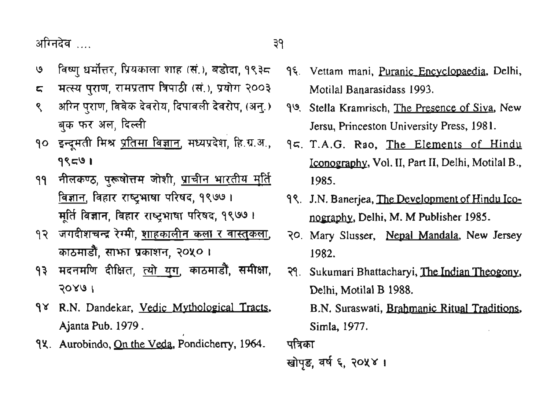- <u>७ विष्णु धर्मोत्तर, प्रियकाला शाहु (सं.), बडोदा, १९३८</u> श्रीग्नदेव ….<br>७ विष्णु धर्मोत्तर, प्रियकाला शाह (सं.), बडोदा, १९३<del>८</del><br>८ मत्स्य पुराण, रामप्रताप त्रिपाठी (सं.), प्रयोग २००३<br>९ अग्नि पराण विवेक देवरोय, दिपावली देवरोप, (अन.)
- 
- अग्नि पराण, विवेक देवरोय, दिपावली देवरोप, (अन.) बक फर अल, दिल्ली
- 90 इन्दमती मिश्र प्रतिमा विज्ञान, मध्यप्रदेश, हि.ग.अ., **99@ 1**
- **बिज्ञान. विहार राष्टभाषा परिषद, १९७७।** <u>विज्ञान</u>, विहार राष्ट्रभाषा परिषद, १९७७ ।<br>मूर्ति विज्ञान, विहार राष्ट्रभाषा परिषद, १९७७ । १९ नीलकण्ठ, पुरूषोत्तम जोशी, <u>प्राचीन भारतीय मूर्ति</u><br>| बिज्ञान, विहार राष्ट्रभाषा परिषद, १९७७ ।<br>| मूर्ति विज्ञान, विहार राष्ट्रभाषा परिषद, १९७७ ।<br>|२ जगदीशचन्द्र रेग्मी, <u>शाहकालीन कला र वास्तुकला,</u><br>| काठमाडौँ, साभ्ग प्रका
- <u>१२ जगदीशचन्द्र रेग्मी, शाहकालीन कला र वास्तुकला,</u> d, **mml 30x0 I**
- **?ours <sup>I</sup>**
- qv R.N. Dandekar, Vedic Mvtholoeical Tracts, Ajanta Pub. **1979.**
- 9X. Aurobindo, On the Veda, Pondicherry, 1964.
- 9%. Vettam mani, Puranic Encyclopaedia, Delhi, Motilal Banarasidass **1993.**
- **90.** Stella Kramrisch, The Presence of Siva, New Jersu, Princeston University Press, **198 1.**
- २९ इन्दूनराम स्थान, सम्पान, सम्पादन, महाद्वारा, सम्राट, स्थान, स्था, <u>The Elements of Trindic</u><br>१९८७ । <u>Iconography,</u> Vol. II, Part II, Delhi, Motilal B.,<br>११ नीलकण्ठ, पुरूषोत्तम जोशी, <u>प्राचीन भारतीय मूर्ति</u> । 1985. **qr;.** T.A.G. Rao, The Elements of Hindu Iconography, Vol. II, Part II, Delhi, Motilal B., **1985.** 
	- **99.** J.N. Banerjea, The Development of Hindu Iconography, Delhi, M. M Publisher 1985.
	- **30.** Mary Slusser, Nepal Mandala, New Jersey **1982.**
	- **39.** Sukumari Bhattacharyi, The Indian Theogony, Delhi, Motilal B **1988.**  B.N. Suraswati, Brahmanic Ritual Traditions, Delhi, Motila<br>B.N. Suraswa<br>Simla, 1977.<br>पत्रिका

पत्रिका<br>खोप**ड. वर्ष ६. २**०**४४** ।